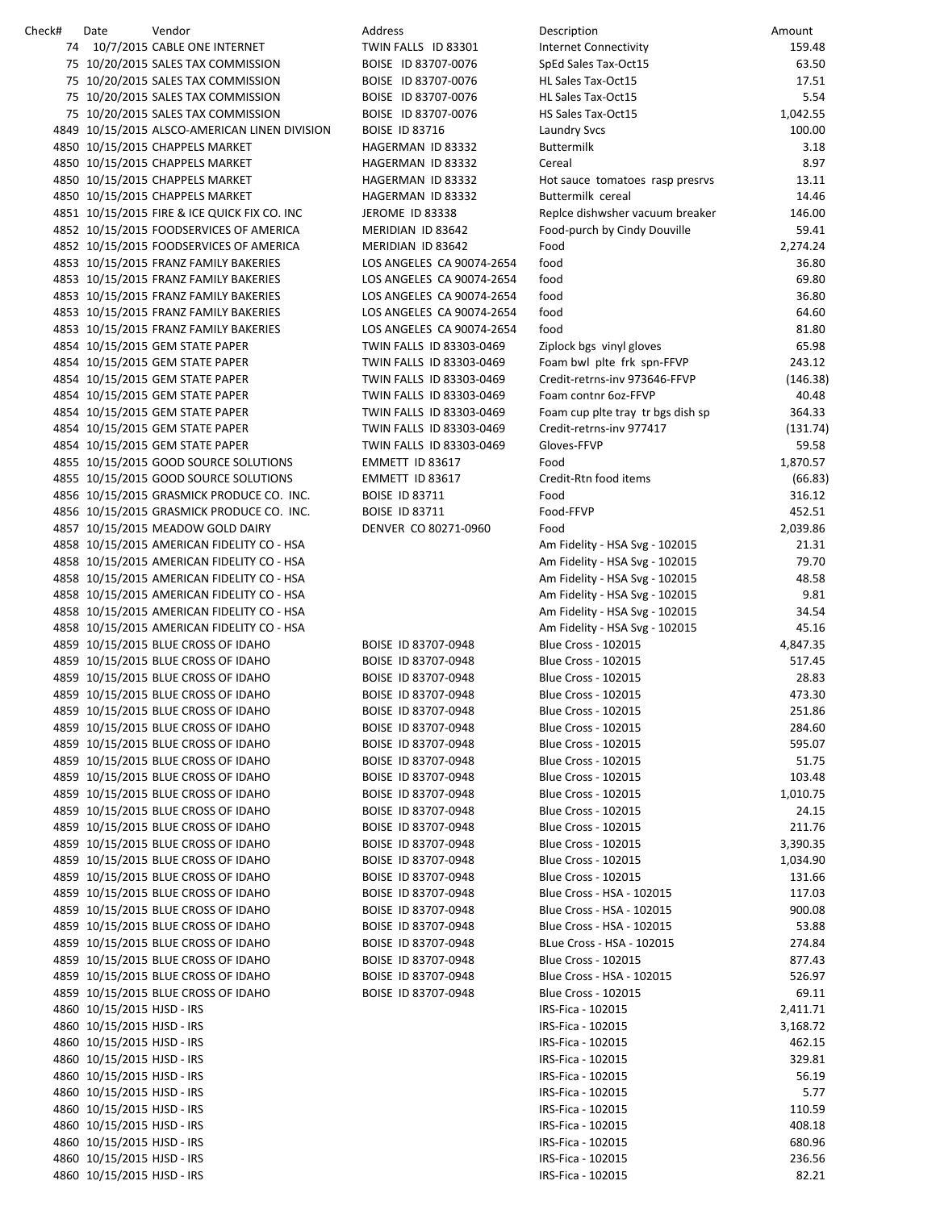| Check# | Date                       | Vendor                                                                            | <b>Address</b>            | Description                                                  | Amount             |
|--------|----------------------------|-----------------------------------------------------------------------------------|---------------------------|--------------------------------------------------------------|--------------------|
|        |                            | 74 10/7/2015 CABLE ONE INTERNET                                                   | TWIN FALLS ID 83301       | <b>Internet Connectivity</b>                                 | 159.48             |
|        |                            | 75 10/20/2015 SALES TAX COMMISSION                                                | BOISE ID 83707-0076       | SpEd Sales Tax-Oct15                                         | 63.50              |
|        |                            | 75 10/20/2015 SALES TAX COMMISSION                                                | BOISE ID 83707-0076       | HL Sales Tax-Oct15                                           | 17.51              |
|        |                            | 75 10/20/2015 SALES TAX COMMISSION                                                | BOISE ID 83707-0076       | HL Sales Tax-Oct15                                           | 5.54               |
|        |                            | 75 10/20/2015 SALES TAX COMMISSION                                                | BOISE ID 83707-0076       | HS Sales Tax-Oct15                                           | 1,042.55           |
|        |                            | 4849 10/15/2015 ALSCO-AMERICAN LINEN DIVISION                                     | <b>BOISE ID 83716</b>     | <b>Laundry Svcs</b>                                          | 100.00             |
|        |                            | 4850 10/15/2015 CHAPPELS MARKET                                                   | HAGERMAN ID 83332         | <b>Buttermilk</b>                                            | 3.18               |
|        |                            | 4850 10/15/2015 CHAPPELS MARKET                                                   | HAGERMAN ID 83332         | Cereal                                                       | 8.97               |
|        |                            | 4850 10/15/2015 CHAPPELS MARKET                                                   | HAGERMAN ID 83332         | Hot sauce tomatoes rasp presrvs                              | 13.11              |
|        |                            | 4850 10/15/2015 CHAPPELS MARKET                                                   | HAGERMAN ID 83332         | Buttermilk cereal                                            | 14.46              |
|        |                            | 4851 10/15/2015 FIRE & ICE QUICK FIX CO. INC                                      | <b>JEROME ID 83338</b>    | Replce dishwsher vacuum breaker                              | 146.00             |
|        |                            | 4852 10/15/2015 FOODSERVICES OF AMERICA                                           | MERIDIAN ID 83642         | Food-purch by Cindy Douville                                 | 59.41              |
|        |                            | 4852 10/15/2015 FOODSERVICES OF AMERICA                                           | MERIDIAN ID 83642         | Food                                                         | 2,274.24           |
|        |                            | 4853 10/15/2015 FRANZ FAMILY BAKERIES                                             | LOS ANGELES CA 90074-2654 | food                                                         | 36.80              |
|        |                            | 4853 10/15/2015 FRANZ FAMILY BAKERIES                                             | LOS ANGELES CA 90074-2654 | food                                                         | 69.80              |
|        |                            | 4853 10/15/2015 FRANZ FAMILY BAKERIES                                             | LOS ANGELES CA 90074-2654 | food                                                         | 36.80              |
|        |                            | 4853 10/15/2015 FRANZ FAMILY BAKERIES                                             | LOS ANGELES CA 90074-2654 | food                                                         | 64.60              |
|        |                            | 4853 10/15/2015 FRANZ FAMILY BAKERIES                                             | LOS ANGELES CA 90074-2654 | food                                                         | 81.80              |
|        |                            | 4854 10/15/2015 GEM STATE PAPER                                                   | TWIN FALLS ID 83303-0469  | Ziplock bgs vinyl gloves                                     | 65.98              |
|        |                            | 4854 10/15/2015 GEM STATE PAPER                                                   | TWIN FALLS ID 83303-0469  | Foam bwl plte frk spn-FFVP                                   | 243.12             |
|        |                            | 4854 10/15/2015 GEM STATE PAPER                                                   | TWIN FALLS ID 83303-0469  | Credit-retrns-inv 973646-FFVP                                | (146.38)           |
|        |                            | 4854 10/15/2015 GEM STATE PAPER                                                   | TWIN FALLS ID 83303-0469  | Foam contnr 6oz-FFVP                                         | 40.48              |
|        |                            | 4854 10/15/2015 GEM STATE PAPER                                                   | TWIN FALLS ID 83303-0469  | Foam cup plte tray tr bgs dish sp                            | 364.33             |
|        |                            | 4854 10/15/2015 GEM STATE PAPER                                                   | TWIN FALLS ID 83303-0469  | Credit-retrns-inv 977417                                     | (131.74)           |
|        |                            | 4854 10/15/2015 GEM STATE PAPER                                                   | TWIN FALLS ID 83303-0469  | Gloves-FFVP                                                  | 59.58              |
|        |                            | 4855 10/15/2015 GOOD SOURCE SOLUTIONS                                             | EMMETT ID 83617           | Food                                                         | 1,870.57           |
|        |                            | 4855 10/15/2015 GOOD SOURCE SOLUTIONS                                             | EMMETT ID 83617           | Credit-Rtn food items                                        | (66.83)            |
|        |                            | 4856 10/15/2015 GRASMICK PRODUCE CO. INC.                                         | <b>BOISE ID 83711</b>     | Food                                                         | 316.12             |
|        |                            | 4856 10/15/2015 GRASMICK PRODUCE CO. INC.                                         | <b>BOISE ID 83711</b>     | Food-FFVP                                                    | 452.51             |
|        |                            | 4857 10/15/2015 MEADOW GOLD DAIRY                                                 | DENVER CO 80271-0960      | Food                                                         | 2,039.86           |
|        |                            | 4858 10/15/2015 AMERICAN FIDELITY CO - HSA                                        |                           | Am Fidelity - HSA Svg - 102015                               | 21.31              |
|        |                            | 4858 10/15/2015 AMERICAN FIDELITY CO - HSA                                        |                           | Am Fidelity - HSA Svg - 102015                               | 79.70              |
|        |                            | 4858 10/15/2015 AMERICAN FIDELITY CO - HSA                                        |                           | Am Fidelity - HSA Svg - 102015                               | 48.58              |
|        |                            | 4858 10/15/2015 AMERICAN FIDELITY CO - HSA                                        |                           | Am Fidelity - HSA Svg - 102015                               | 9.81               |
|        |                            | 4858 10/15/2015 AMERICAN FIDELITY CO - HSA                                        |                           | Am Fidelity - HSA Svg - 102015                               | 34.54              |
|        |                            |                                                                                   |                           |                                                              | 45.16              |
|        |                            | 4858 10/15/2015 AMERICAN FIDELITY CO - HSA<br>4859 10/15/2015 BLUE CROSS OF IDAHO | BOISE ID 83707-0948       | Am Fidelity - HSA Svg - 102015<br><b>Blue Cross - 102015</b> |                    |
|        |                            | 4859 10/15/2015 BLUE CROSS OF IDAHO                                               | BOISE ID 83707-0948       |                                                              | 4,847.35<br>517.45 |
|        |                            | 4859 10/15/2015 BLUE CROSS OF IDAHO                                               |                           | <b>Blue Cross - 102015</b>                                   |                    |
|        |                            |                                                                                   | BOISE ID 83707-0948       | <b>Blue Cross - 102015</b>                                   | 28.83              |
|        |                            | 4859 10/15/2015 BLUE CROSS OF IDAHO                                               | BOISE ID 83707-0948       | <b>Blue Cross - 102015</b>                                   | 473.30             |
|        |                            | 4859 10/15/2015 BLUE CROSS OF IDAHO                                               | BOISE ID 83707-0948       | <b>Blue Cross - 102015</b>                                   | 251.86             |
|        |                            | 4859 10/15/2015 BLUE CROSS OF IDAHO                                               | BOISE ID 83707-0948       | <b>Blue Cross - 102015</b>                                   | 284.60             |
|        |                            | 4859 10/15/2015 BLUE CROSS OF IDAHO                                               | BOISE ID 83707-0948       | <b>Blue Cross - 102015</b>                                   | 595.07             |
|        |                            | 4859 10/15/2015 BLUE CROSS OF IDAHO                                               | BOISE ID 83707-0948       | <b>Blue Cross - 102015</b>                                   | 51.75              |
|        |                            | 4859 10/15/2015 BLUE CROSS OF IDAHO                                               | BOISE ID 83707-0948       | <b>Blue Cross - 102015</b>                                   | 103.48             |
|        |                            | 4859 10/15/2015 BLUE CROSS OF IDAHO                                               | BOISE ID 83707-0948       | <b>Blue Cross - 102015</b>                                   | 1,010.75           |
|        |                            | 4859 10/15/2015 BLUE CROSS OF IDAHO                                               | BOISE ID 83707-0948       | <b>Blue Cross - 102015</b>                                   | 24.15              |
|        |                            | 4859 10/15/2015 BLUE CROSS OF IDAHO                                               | BOISE ID 83707-0948       | <b>Blue Cross - 102015</b>                                   | 211.76             |
|        |                            | 4859 10/15/2015 BLUE CROSS OF IDAHO                                               | BOISE ID 83707-0948       | <b>Blue Cross - 102015</b>                                   | 3,390.35           |
|        |                            | 4859 10/15/2015 BLUE CROSS OF IDAHO                                               | BOISE ID 83707-0948       | <b>Blue Cross - 102015</b>                                   | 1,034.90           |
|        |                            | 4859 10/15/2015 BLUE CROSS OF IDAHO                                               | BOISE ID 83707-0948       | <b>Blue Cross - 102015</b>                                   | 131.66             |
|        |                            | 4859 10/15/2015 BLUE CROSS OF IDAHO                                               | BOISE ID 83707-0948       | Blue Cross - HSA - 102015                                    | 117.03             |
|        |                            | 4859 10/15/2015 BLUE CROSS OF IDAHO                                               | BOISE ID 83707-0948       | Blue Cross - HSA - 102015                                    | 900.08             |
|        |                            | 4859 10/15/2015 BLUE CROSS OF IDAHO                                               | BOISE ID 83707-0948       | Blue Cross - HSA - 102015                                    | 53.88              |
|        |                            | 4859 10/15/2015 BLUE CROSS OF IDAHO                                               | BOISE ID 83707-0948       | BLue Cross - HSA - 102015                                    | 274.84             |
|        |                            | 4859 10/15/2015 BLUE CROSS OF IDAHO                                               | BOISE ID 83707-0948       | <b>Blue Cross - 102015</b>                                   | 877.43             |
|        |                            | 4859 10/15/2015 BLUE CROSS OF IDAHO                                               | BOISE ID 83707-0948       | Blue Cross - HSA - 102015                                    | 526.97             |
|        |                            | 4859 10/15/2015 BLUE CROSS OF IDAHO                                               | BOISE ID 83707-0948       | Blue Cross - 102015                                          | 69.11              |
|        | 4860 10/15/2015 HJSD - IRS |                                                                                   |                           | IRS-Fica - 102015                                            | 2,411.71           |
|        | 4860 10/15/2015 HJSD - IRS |                                                                                   |                           | IRS-Fica - 102015                                            | 3,168.72           |
|        | 4860 10/15/2015 HJSD - IRS |                                                                                   |                           | IRS-Fica - 102015                                            | 462.15             |
|        | 4860 10/15/2015 HJSD - IRS |                                                                                   |                           | IRS-Fica - 102015                                            | 329.81             |
|        | 4860 10/15/2015 HJSD - IRS |                                                                                   |                           | IRS-Fica - 102015                                            | 56.19              |
|        | 4860 10/15/2015 HJSD - IRS |                                                                                   |                           | IRS-Fica - 102015                                            | 5.77               |
|        | 4860 10/15/2015 HJSD - IRS |                                                                                   |                           | IRS-Fica - 102015                                            | 110.59             |
|        | 4860 10/15/2015 HJSD - IRS |                                                                                   |                           | IRS-Fica - 102015                                            | 408.18             |
|        | 4860 10/15/2015 HJSD - IRS |                                                                                   |                           | IRS-Fica - 102015                                            | 680.96             |
|        | 4860 10/15/2015 HJSD - IRS |                                                                                   |                           | IRS-Fica - 102015                                            | 236.56             |
|        | 4860 10/15/2015 HJSD - IRS |                                                                                   |                           | IRS-Fica - 102015                                            | 82.21              |
|        |                            |                                                                                   |                           |                                                              |                    |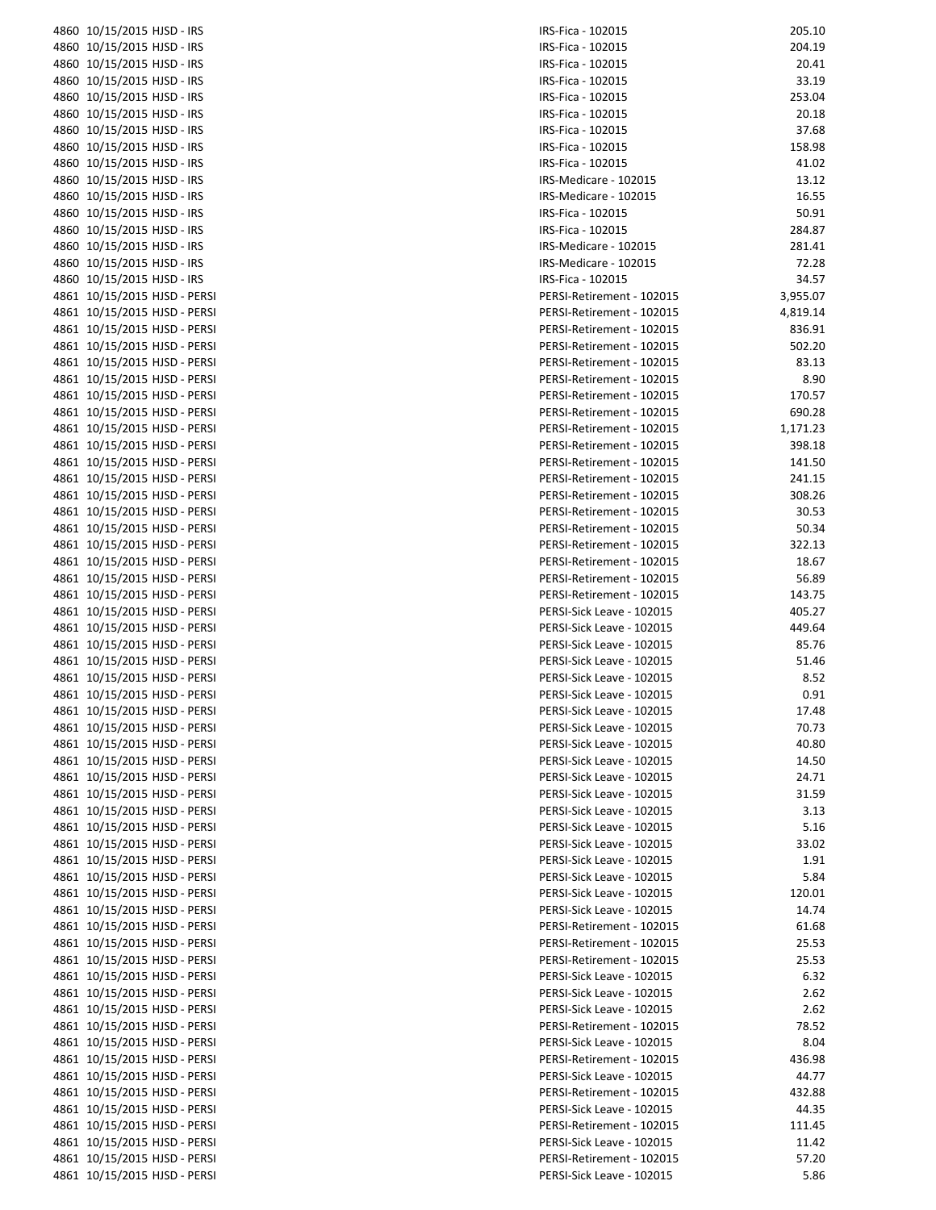| 4860 10/15/2015 HJSD - IRS                                   | IRS-Fi                |
|--------------------------------------------------------------|-----------------------|
| 4860 10/15/2015 HJSD - IRS                                   | IRS-Fi                |
| 4860 10/15/2015 HJSD - IRS                                   | IRS-Fi                |
| 4860 10/15/2015 HJSD - IRS                                   | IRS-Fi                |
| 4860 10/15/2015 HJSD - IRS                                   | IRS-Fi                |
| 4860 10/15/2015 HJSD - IRS                                   | IRS-Fi                |
| 4860 10/15/2015 HJSD - IRS                                   | IRS-Fi                |
| 4860 10/15/2015 HJSD - IRS                                   | IRS-Fi                |
| 4860 10/15/2015 HJSD - IRS                                   | IRS-Fi                |
| 4860 10/15/2015 HJSD - IRS                                   | IRS-M                 |
| 4860 10/15/2015 HJSD - IRS                                   | IRS-M                 |
| 4860 10/15/2015 HJSD - IRS                                   | IRS-Fi                |
| 4860 10/15/2015 HJSD - IRS                                   | IRS-Fi                |
| 4860 10/15/2015 HJSD - IRS                                   | IRS-M                 |
| 4860 10/15/2015 HJSD - IRS                                   | IRS-M                 |
| 4860 10/15/2015 HJSD - IRS                                   | IRS-Fi                |
| 4861 10/15/2015 HJSD - PERSI                                 | PERSI                 |
| 4861 10/15/2015 HJSD - PERSI                                 | PERSI                 |
| 4861 10/15/2015 HJSD - PERSI                                 | <b>PERSI</b>          |
| 4861 10/15/2015 HJSD - PERSI                                 | PERSI                 |
| 4861 10/15/2015 HJSD - PERSI                                 | PERSI                 |
| 4861 10/15/2015 HJSD - PERSI                                 | PERSI                 |
| 4861 10/15/2015 HJSD - PERSI                                 | <b>PERSI</b>          |
| 4861 10/15/2015 HJSD - PERSI                                 | PERSI                 |
| 4861 10/15/2015 HJSD - PERSI                                 | PERSI                 |
| 4861 10/15/2015 HJSD - PERSI                                 | PERSI                 |
| 4861 10/15/2015 HJSD - PERSI                                 | PERSI                 |
| 4861 10/15/2015 HJSD - PERSI                                 | PERSI                 |
| 4861 10/15/2015 HJSD - PERSI                                 | PERSI                 |
| 4861 10/15/2015 HJSD - PERSI                                 | PERSI                 |
| 4861 10/15/2015 HJSD - PERSI                                 | PERSI                 |
| 4861 10/15/2015 HJSD - PERSI                                 | PERSI                 |
| 4861 10/15/2015 HJSD - PERSI                                 | PERSI                 |
| 4861 10/15/2015 HJSD - PERSI                                 | PERSI                 |
| 4861 10/15/2015 HJSD - PERSI                                 | PERSI                 |
| 4861 10/15/2015 HJSD - PERSI                                 | PERSI                 |
| 4861 10/15/2015 HJSD - PERSI                                 | <b>PERSI</b>          |
| 4861 10/15/2015 HJSD - PERSI                                 | PERSI                 |
| 4861 10/15/2015 HJSD - PERSI                                 | PERSI                 |
| 4861 10/15/2015 HJSD - PERSI                                 | <b>PERSI</b>          |
| 4861 10/15/2015 HJSD - PERSI                                 | <b>PERSI</b>          |
| 4861 10/15/2015 HJSD - PERSI                                 | PERSI                 |
| 4861 10/15/2015 HJSD - PERSI                                 | PERSI                 |
| 4861 10/15/2015 HJSD - PERSI                                 | PERSI                 |
| 4861 10/15/2015 HJSD - PERSI                                 | <b>PERSI</b>          |
| 4861 10/15/2015 HJSD - PERSI                                 | PERSI                 |
| 4861 10/15/2015 HJSD - PERSI                                 | PERSI                 |
| 4861 10/15/2015 HJSD - PERSI                                 | PERSI                 |
| 4861 10/15/2015 HJSD - PERSI                                 | PERSI                 |
| 4861 10/15/2015 HJSD - PERSI                                 | <b>PERSI</b>          |
| 4861 10/15/2015 HJSD - PERSI                                 | PERSI                 |
| 4861 10/15/2015 HJSD - PERSI                                 | PERSI                 |
| 4861 10/15/2015 HJSD - PERSI                                 | <b>PERSI</b>          |
| 4861 10/15/2015 HJSD - PERSI                                 | PERSI                 |
| 4861 10/15/2015 HJSD - PERSI                                 | PERSI                 |
| 4861 10/15/2015 HJSD - PERSI                                 | PERSI                 |
| 4861 10/15/2015 HJSD - PERSI                                 | PERSI                 |
| 4861 10/15/2015 HJSD - PERSI                                 | PERSI                 |
| 4861 10/15/2015 HJSD - PERSI                                 | PERSI                 |
|                                                              |                       |
| 4861 10/15/2015 HJSD - PERSI<br>4861 10/15/2015 HJSD - PERSI | PERSI<br><b>PERSI</b> |
| 4861 10/15/2015 HJSD - PERSI                                 |                       |
| 4861 10/15/2015 HJSD - PERSI                                 | PERSI<br>PERSI        |
|                                                              |                       |
| 4861 10/15/2015 HJSD - PERSI                                 | PERSI                 |
| 4861 10/15/2015 HJSD - PERSI                                 | PERSI                 |
| 4861 10/15/2015 HJSD - PERSI                                 | PERSI                 |
| 4861 10/15/2015 HJSD - PERSI                                 | PERSI                 |
| 4861 10/15/2015 HJSD - PERSI                                 | PERSI                 |
| 4861 10/15/2015 HJSD - PERSI                                 | PERSI                 |
| 4861 10/15/2015 HJSD - PERSI                                 | PERSI                 |

| IRS-Fica - 102015                                      | 205.10          |
|--------------------------------------------------------|-----------------|
| IRS-Fica - 102015                                      | 204.19          |
| IRS-Fica - 102015<br>IRS-Fica - 102015                 | 20.41           |
| IRS-Fica - 102015                                      | 33.19<br>253.04 |
| IRS-Fica - 102015                                      | 20.18           |
| IRS-Fica - 102015                                      | 37.68           |
| IRS-Fica - 102015                                      | 158.98          |
| IRS-Fica - 102015                                      | 41.02           |
| IRS-Medicare - 102015                                  | 13.12           |
| IRS-Medicare - 102015                                  | 16.55           |
| IRS-Fica - 102015<br>IRS-Fica - 102015                 | 50.91<br>284.87 |
| IRS-Medicare - 102015                                  | 281.41          |
| IRS-Medicare - 102015                                  | 72.28           |
| IRS-Fica - 102015                                      | 34.57           |
| PERSI-Retirement - 102015                              | 3,955.07        |
| PERSI-Retirement - 102015                              | 4,819.14        |
| PERSI-Retirement - 102015                              | 836.91          |
| PERSI-Retirement - 102015                              | 502.20          |
| PERSI-Retirement - 102015<br>PERSI-Retirement - 102015 | 83.13<br>8.90   |
| PERSI-Retirement - 102015                              | 170.57          |
| PERSI-Retirement - 102015                              | 690.28          |
| PERSI-Retirement - 102015                              | 1,171.23        |
| PERSI-Retirement - 102015                              | 398.18          |
| PERSI-Retirement - 102015                              | 141.50          |
| PERSI-Retirement - 102015                              | 241.15          |
| PERSI-Retirement - 102015                              | 308.26          |
| PERSI-Retirement - 102015<br>PERSI-Retirement - 102015 | 30.53<br>50.34  |
| PERSI-Retirement - 102015                              | 322.13          |
| PERSI-Retirement - 102015                              | 18.67           |
| PERSI-Retirement - 102015                              | 56.89           |
| PERSI-Retirement - 102015                              | 143.75          |
| PERSI-Sick Leave - 102015                              | 405.27          |
| PERSI-Sick Leave - 102015                              | 449.64          |
| PERSI-Sick Leave - 102015<br>PERSI-Sick Leave - 102015 | 85.76           |
| PERSI-Sick Leave - 102015                              | 51.46<br>8.52   |
| PERSI-Sick Leave - 102015                              | 0.91            |
| PERSI-Sick Leave - 102015                              | 17.48           |
| PERSI-Sick Leave - 102015                              | 70.73           |
| PERSI-Sick Leave - 102015                              | 40.80           |
| PERSI-Sick Leave - 102015                              | 14.50           |
| PERSI-Sick Leave - 102015                              | 24.71           |
| PERSI-Sick Leave - 102015<br>PERSI-Sick Leave - 102015 | 31.59<br>3.13   |
| PERSI-Sick Leave - 102015                              | 5.16            |
| PERSI-Sick Leave - 102015                              | 33.02           |
| PERSI-Sick Leave - 102015                              | 1.91            |
| PERSI-Sick Leave - 102015                              | 5.84            |
| PERSI-Sick Leave - 102015                              | 120.01          |
| PERSI-Sick Leave - 102015                              | 14.74           |
| PERSI-Retirement - 102015                              | 61.68           |
| PERSI-Retirement - 102015<br>PERSI-Retirement - 102015 | 25.53<br>25.53  |
| PERSI-Sick Leave - 102015                              | 6.32            |
| PERSI-Sick Leave - 102015                              | 2.62            |
| PERSI-Sick Leave - 102015                              | 2.62            |
| PERSI-Retirement - 102015                              | 78.52           |
| PERSI-Sick Leave - 102015                              | 8.04            |
| PERSI-Retirement - 102015                              | 436.98          |
| PERSI-Sick Leave - 102015<br>PERSI-Retirement - 102015 | 44.77<br>432.88 |
| PERSI-Sick Leave - 102015                              | 44.35           |
| PERSI-Retirement - 102015                              | 111.45          |
| PERSI-Sick Leave - 102015                              | 11.42           |
| PERSI-Retirement - 102015                              | 57.20           |
| PERSI-Sick Leave - 102015                              | 5.86            |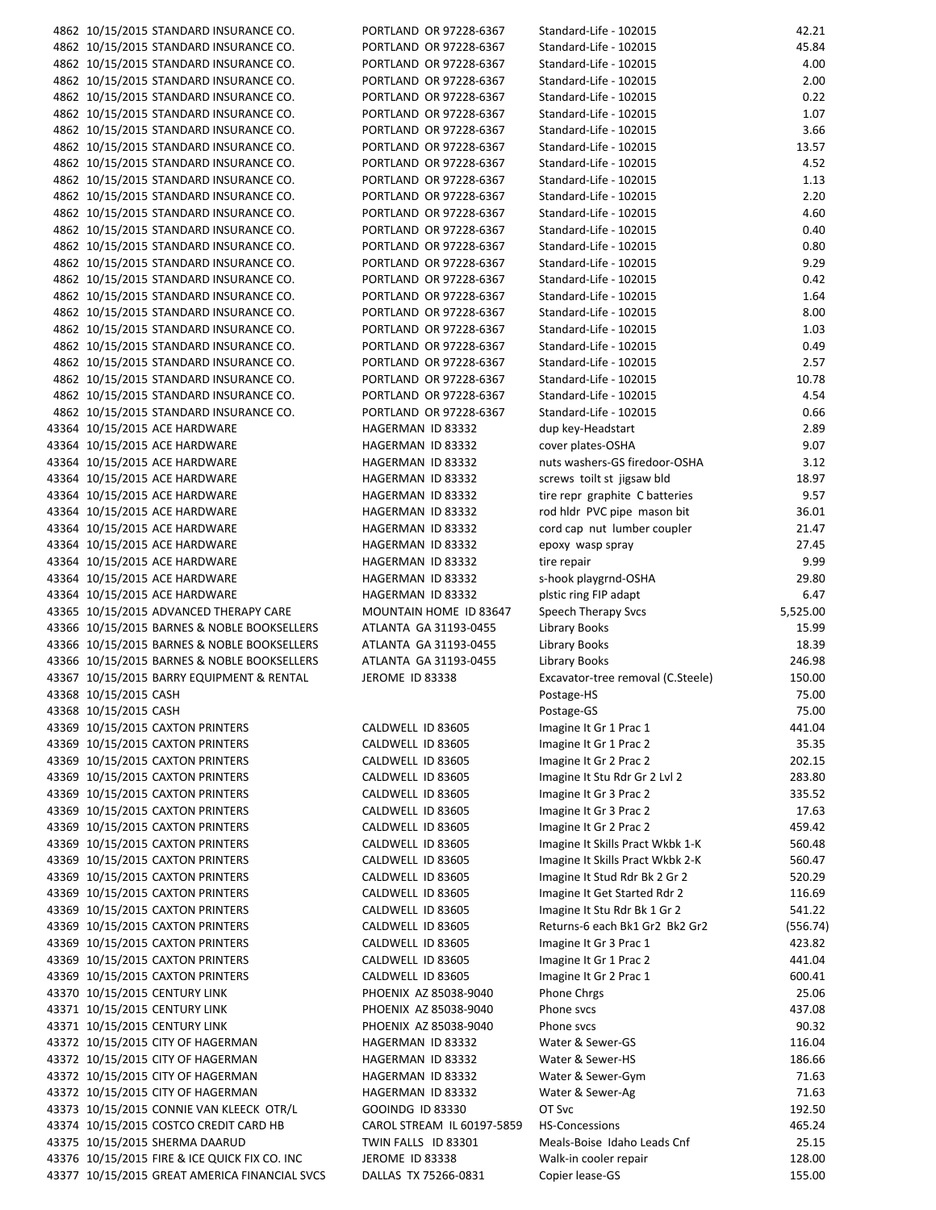| 4862 10/15/2015 STANDARD INSURANCE CO.        | PORTLAND OR 97228-6367     | Standard-Life - 102015            | 42.21    |
|-----------------------------------------------|----------------------------|-----------------------------------|----------|
| 4862 10/15/2015 STANDARD INSURANCE CO.        | PORTLAND OR 97228-6367     | Standard-Life - 102015            | 45.84    |
| 4862 10/15/2015 STANDARD INSURANCE CO.        | PORTLAND OR 97228-6367     | Standard-Life - 102015            | 4.00     |
| 4862 10/15/2015 STANDARD INSURANCE CO.        | PORTLAND OR 97228-6367     | Standard-Life - 102015            | 2.00     |
| 4862 10/15/2015 STANDARD INSURANCE CO.        | PORTLAND OR 97228-6367     | Standard-Life - 102015            | 0.22     |
| 4862 10/15/2015 STANDARD INSURANCE CO.        | PORTLAND OR 97228-6367     | Standard-Life - 102015            | 1.07     |
|                                               |                            |                                   |          |
| 4862 10/15/2015 STANDARD INSURANCE CO.        | PORTLAND OR 97228-6367     | Standard-Life - 102015            | 3.66     |
| 4862 10/15/2015 STANDARD INSURANCE CO.        | PORTLAND OR 97228-6367     | Standard-Life - 102015            | 13.57    |
| 4862 10/15/2015 STANDARD INSURANCE CO.        | PORTLAND OR 97228-6367     | Standard-Life - 102015            | 4.52     |
| 4862 10/15/2015 STANDARD INSURANCE CO.        | PORTLAND OR 97228-6367     | Standard-Life - 102015            | 1.13     |
| 4862 10/15/2015 STANDARD INSURANCE CO.        | PORTLAND OR 97228-6367     | Standard-Life - 102015            | 2.20     |
| 4862 10/15/2015 STANDARD INSURANCE CO.        | PORTLAND OR 97228-6367     | Standard-Life - 102015            | 4.60     |
| 4862 10/15/2015 STANDARD INSURANCE CO.        | PORTLAND OR 97228-6367     | Standard-Life - 102015            | 0.40     |
| 4862 10/15/2015 STANDARD INSURANCE CO.        | PORTLAND OR 97228-6367     | Standard-Life - 102015            | 0.80     |
|                                               |                            |                                   |          |
| 4862 10/15/2015 STANDARD INSURANCE CO.        | PORTLAND OR 97228-6367     | Standard-Life - 102015            | 9.29     |
| 4862 10/15/2015 STANDARD INSURANCE CO.        | PORTLAND OR 97228-6367     | Standard-Life - 102015            | 0.42     |
| 4862 10/15/2015 STANDARD INSURANCE CO.        | PORTLAND OR 97228-6367     | Standard-Life - 102015            | 1.64     |
| 4862 10/15/2015 STANDARD INSURANCE CO.        | PORTLAND OR 97228-6367     | Standard-Life - 102015            | 8.00     |
| 4862 10/15/2015 STANDARD INSURANCE CO.        | PORTLAND OR 97228-6367     | Standard-Life - 102015            | 1.03     |
| 4862 10/15/2015 STANDARD INSURANCE CO.        | PORTLAND OR 97228-6367     | Standard-Life - 102015            | 0.49     |
| 4862 10/15/2015 STANDARD INSURANCE CO.        | PORTLAND OR 97228-6367     | Standard-Life - 102015            | 2.57     |
| 4862 10/15/2015 STANDARD INSURANCE CO.        | PORTLAND OR 97228-6367     | Standard-Life - 102015            | 10.78    |
| 4862 10/15/2015 STANDARD INSURANCE CO.        | PORTLAND OR 97228-6367     | Standard-Life - 102015            | 4.54     |
|                                               |                            |                                   |          |
| 4862 10/15/2015 STANDARD INSURANCE CO.        | PORTLAND OR 97228-6367     | Standard-Life - 102015            | 0.66     |
| 43364 10/15/2015 ACE HARDWARE                 | HAGERMAN ID 83332          | dup key-Headstart                 | 2.89     |
| 43364 10/15/2015 ACE HARDWARE                 | HAGERMAN ID 83332          | cover plates-OSHA                 | 9.07     |
| 43364 10/15/2015 ACE HARDWARE                 | HAGERMAN ID 83332          | nuts washers-GS firedoor-OSHA     | 3.12     |
| 43364 10/15/2015 ACE HARDWARE                 | HAGERMAN ID 83332          | screws toilt st jigsaw bld        | 18.97    |
| 43364 10/15/2015 ACE HARDWARE                 | HAGERMAN ID 83332          | tire repr graphite C batteries    | 9.57     |
| 43364 10/15/2015 ACE HARDWARE                 | HAGERMAN ID 83332          | rod hldr PVC pipe mason bit       | 36.01    |
|                                               |                            |                                   |          |
| 43364 10/15/2015 ACE HARDWARE                 | HAGERMAN ID 83332          | cord cap nut lumber coupler       | 21.47    |
| 43364 10/15/2015 ACE HARDWARE                 | HAGERMAN ID 83332          | epoxy wasp spray                  | 27.45    |
| 43364 10/15/2015 ACE HARDWARE                 | HAGERMAN ID 83332          | tire repair                       | 9.99     |
| 43364 10/15/2015 ACE HARDWARE                 | HAGERMAN ID 83332          | s-hook playgrnd-OSHA              | 29.80    |
| 43364 10/15/2015 ACE HARDWARE                 | HAGERMAN ID 83332          | plstic ring FIP adapt             | 6.47     |
| 43365 10/15/2015 ADVANCED THERAPY CARE        | MOUNTAIN HOME ID 83647     | Speech Therapy Svcs               | 5,525.00 |
| 43366 10/15/2015 BARNES & NOBLE BOOKSELLERS   | ATLANTA GA 31193-0455      | Library Books                     | 15.99    |
| 43366 10/15/2015 BARNES & NOBLE BOOKSELLERS   | ATLANTA GA 31193-0455      | Library Books                     | 18.39    |
| 43366 10/15/2015 BARNES & NOBLE BOOKSELLERS   | ATLANTA GA 31193-0455      |                                   | 246.98   |
|                                               |                            | Library Books                     |          |
| 43367 10/15/2015 BARRY EQUIPMENT & RENTAL     | JEROME ID 83338            | Excavator-tree removal (C.Steele) | 150.00   |
| 43368 10/15/2015 CASH                         |                            | Postage-HS                        | 75.00    |
| 43368 10/15/2015 CASH                         |                            | Postage-GS                        | 75.00    |
| 43369 10/15/2015 CAXTON PRINTERS              | CALDWELL ID 83605          | Imagine It Gr 1 Prac 1            | 441.04   |
| 43369 10/15/2015 CAXTON PRINTERS              | CALDWELL ID 83605          | Imagine It Gr 1 Prac 2            | 35.35    |
| 43369 10/15/2015 CAXTON PRINTERS              | CALDWELL ID 83605          | Imagine It Gr 2 Prac 2            | 202.15   |
| 43369 10/15/2015 CAXTON PRINTERS              | CALDWELL ID 83605          | Imagine It Stu Rdr Gr 2 Lvl 2     | 283.80   |
| 43369 10/15/2015 CAXTON PRINTERS              | CALDWELL ID 83605          | Imagine It Gr 3 Prac 2            | 335.52   |
|                                               |                            |                                   |          |
| 43369 10/15/2015 CAXTON PRINTERS              | CALDWELL ID 83605          | Imagine It Gr 3 Prac 2            | 17.63    |
| 43369 10/15/2015 CAXTON PRINTERS              | CALDWELL ID 83605          | Imagine It Gr 2 Prac 2            | 459.42   |
| 43369 10/15/2015 CAXTON PRINTERS              | CALDWELL ID 83605          | Imagine It Skills Pract Wkbk 1-K  | 560.48   |
| 43369 10/15/2015 CAXTON PRINTERS              | CALDWELL ID 83605          | Imagine It Skills Pract Wkbk 2-K  | 560.47   |
| 43369 10/15/2015 CAXTON PRINTERS              | CALDWELL ID 83605          | Imagine It Stud Rdr Bk 2 Gr 2     | 520.29   |
| 43369 10/15/2015 CAXTON PRINTERS              | CALDWELL ID 83605          | Imagine It Get Started Rdr 2      | 116.69   |
| 43369 10/15/2015 CAXTON PRINTERS              | CALDWELL ID 83605          | Imagine It Stu Rdr Bk 1 Gr 2      | 541.22   |
|                                               |                            |                                   |          |
| 43369 10/15/2015 CAXTON PRINTERS              | CALDWELL ID 83605          | Returns-6 each Bk1 Gr2 Bk2 Gr2    | (556.74) |
| 43369 10/15/2015 CAXTON PRINTERS              | CALDWELL ID 83605          | Imagine It Gr 3 Prac 1            | 423.82   |
| 43369 10/15/2015 CAXTON PRINTERS              | CALDWELL ID 83605          | Imagine It Gr 1 Prac 2            | 441.04   |
| 43369 10/15/2015 CAXTON PRINTERS              | CALDWELL ID 83605          | Imagine It Gr 2 Prac 1            | 600.41   |
| 43370 10/15/2015 CENTURY LINK                 | PHOENIX AZ 85038-9040      | Phone Chrgs                       | 25.06    |
| 43371 10/15/2015 CENTURY LINK                 | PHOENIX AZ 85038-9040      | Phone svcs                        | 437.08   |
| 43371 10/15/2015 CENTURY LINK                 | PHOENIX AZ 85038-9040      | Phone svcs                        | 90.32    |
|                                               |                            |                                   |          |
| 43372 10/15/2015 CITY OF HAGERMAN             | HAGERMAN ID 83332          | Water & Sewer-GS                  | 116.04   |
| 43372 10/15/2015 CITY OF HAGERMAN             | HAGERMAN ID 83332          | Water & Sewer-HS                  | 186.66   |
| 43372 10/15/2015 CITY OF HAGERMAN             | HAGERMAN ID 83332          | Water & Sewer-Gym                 | 71.63    |
| 43372 10/15/2015 CITY OF HAGERMAN             | HAGERMAN ID 83332          | Water & Sewer-Ag                  | 71.63    |
| 43373 10/15/2015 CONNIE VAN KLEECK OTR/L      | GOOINDG ID 83330           | OT Svc                            | 192.50   |
| 43374 10/15/2015 COSTCO CREDIT CARD HB        | CAROL STREAM IL 60197-5859 | <b>HS-Concessions</b>             | 465.24   |
| 43375 10/15/2015 SHERMA DAARUD                | TWIN FALLS ID 83301        | Meals-Boise Idaho Leads Cnf       | 25.15    |
| 43376 10/15/2015 FIRE & ICE QUICK FIX CO. INC | JEROME ID 83338            | Walk-in cooler repair             | 128.00   |
|                                               |                            |                                   |          |
| 43377 10/15/2015 GREAT AMERICA FINANCIAL SVCS | DALLAS TX 75266-0831       | Copier lease-GS                   | 155.00   |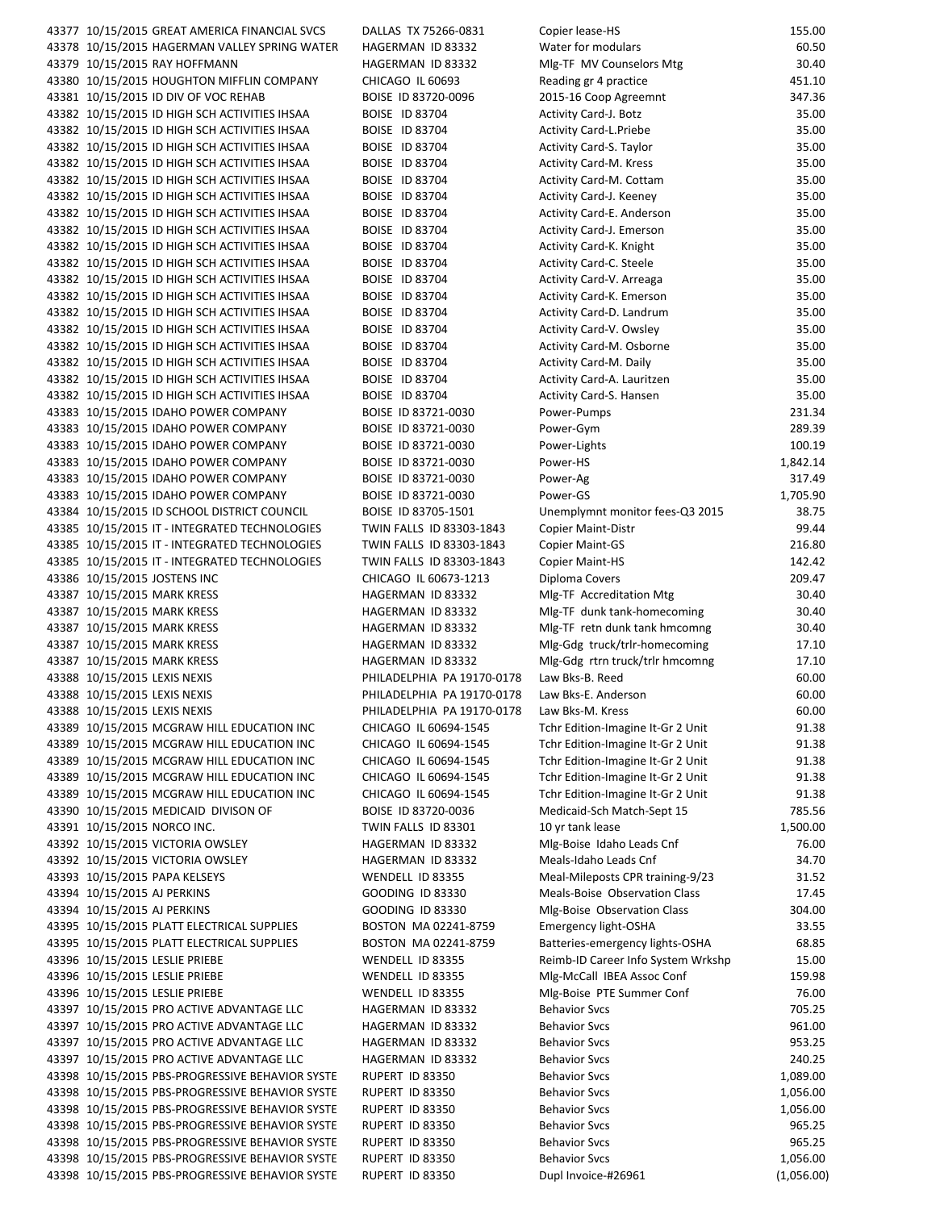| 43377 10/15/2015 GREAT AMERICA FINANCIAL SVCS   | DALLAS TX 75266-0831       | Copier lease-HS                    | 155.00     |
|-------------------------------------------------|----------------------------|------------------------------------|------------|
| 43378 10/15/2015 HAGERMAN VALLEY SPRING WATER   | HAGERMAN ID 83332          | Water for modulars                 | 60.50      |
| 43379 10/15/2015 RAY HOFFMANN                   | HAGERMAN ID 83332          | Mlg-TF MV Counselors Mtg           | 30.40      |
| 43380 10/15/2015 HOUGHTON MIFFLIN COMPANY       | CHICAGO IL 60693           | Reading gr 4 practice              | 451.10     |
| 43381 10/15/2015 ID DIV OF VOC REHAB            | BOISE ID 83720-0096        | 2015-16 Coop Agreemnt              | 347.36     |
| 43382 10/15/2015 ID HIGH SCH ACTIVITIES IHSAA   | BOISE ID 83704             | Activity Card-J. Botz              | 35.00      |
| 43382 10/15/2015 ID HIGH SCH ACTIVITIES IHSAA   | BOISE ID 83704             | <b>Activity Card-L.Priebe</b>      | 35.00      |
|                                                 |                            |                                    |            |
| 43382 10/15/2015 ID HIGH SCH ACTIVITIES IHSAA   | <b>BOISE ID 83704</b>      | Activity Card-S. Taylor            | 35.00      |
| 43382 10/15/2015 ID HIGH SCH ACTIVITIES IHSAA   | BOISE ID 83704             | <b>Activity Card-M. Kress</b>      | 35.00      |
| 43382 10/15/2015 ID HIGH SCH ACTIVITIES IHSAA   | BOISE ID 83704             | Activity Card-M. Cottam            | 35.00      |
| 43382 10/15/2015 ID HIGH SCH ACTIVITIES IHSAA   | BOISE ID 83704             | Activity Card-J. Keeney            | 35.00      |
| 43382 10/15/2015 ID HIGH SCH ACTIVITIES IHSAA   | BOISE ID 83704             | Activity Card-E. Anderson          | 35.00      |
| 43382 10/15/2015 ID HIGH SCH ACTIVITIES IHSAA   | <b>BOISE ID 83704</b>      | Activity Card-J. Emerson           | 35.00      |
| 43382 10/15/2015 ID HIGH SCH ACTIVITIES IHSAA   | BOISE ID 83704             | Activity Card-K. Knight            | 35.00      |
| 43382 10/15/2015 ID HIGH SCH ACTIVITIES IHSAA   | BOISE ID 83704             | Activity Card-C. Steele            | 35.00      |
| 43382 10/15/2015 ID HIGH SCH ACTIVITIES IHSAA   | BOISE ID 83704             |                                    | 35.00      |
|                                                 |                            | Activity Card-V. Arreaga           |            |
| 43382 10/15/2015 ID HIGH SCH ACTIVITIES IHSAA   | BOISE ID 83704             | Activity Card-K. Emerson           | 35.00      |
| 43382 10/15/2015 ID HIGH SCH ACTIVITIES IHSAA   | BOISE ID 83704             | Activity Card-D. Landrum           | 35.00      |
| 43382 10/15/2015 ID HIGH SCH ACTIVITIES IHSAA   | BOISE ID 83704             | Activity Card-V. Owsley            | 35.00      |
| 43382 10/15/2015 ID HIGH SCH ACTIVITIES IHSAA   | BOISE ID 83704             | Activity Card-M. Osborne           | 35.00      |
| 43382 10/15/2015 ID HIGH SCH ACTIVITIES IHSAA   | BOISE ID 83704             | Activity Card-M. Daily             | 35.00      |
| 43382 10/15/2015 ID HIGH SCH ACTIVITIES IHSAA   | BOISE ID 83704             | Activity Card-A. Lauritzen         | 35.00      |
| 43382 10/15/2015 ID HIGH SCH ACTIVITIES IHSAA   | BOISE ID 83704             | Activity Card-S. Hansen            | 35.00      |
| 43383 10/15/2015 IDAHO POWER COMPANY            | BOISE ID 83721-0030        | Power-Pumps                        | 231.34     |
|                                                 |                            |                                    |            |
| 43383 10/15/2015 IDAHO POWER COMPANY            | BOISE ID 83721-0030        | Power-Gym                          | 289.39     |
| 43383 10/15/2015 IDAHO POWER COMPANY            | BOISE ID 83721-0030        | Power-Lights                       | 100.19     |
| 43383 10/15/2015 IDAHO POWER COMPANY            | BOISE ID 83721-0030        | Power-HS                           | 1,842.14   |
| 43383 10/15/2015 IDAHO POWER COMPANY            | BOISE ID 83721-0030        | Power-Ag                           | 317.49     |
| 43383 10/15/2015 IDAHO POWER COMPANY            | BOISE ID 83721-0030        | Power-GS                           | 1,705.90   |
| 43384 10/15/2015 ID SCHOOL DISTRICT COUNCIL     | BOISE ID 83705-1501        | Unemplymnt monitor fees-Q3 2015    | 38.75      |
| 43385 10/15/2015 IT - INTEGRATED TECHNOLOGIES   | TWIN FALLS ID 83303-1843   | Copier Maint-Distr                 | 99.44      |
| 43385 10/15/2015 IT - INTEGRATED TECHNOLOGIES   | TWIN FALLS ID 83303-1843   |                                    | 216.80     |
|                                                 |                            | Copier Maint-GS                    |            |
| 43385 10/15/2015 IT - INTEGRATED TECHNOLOGIES   | TWIN FALLS ID 83303-1843   | <b>Copier Maint-HS</b>             | 142.42     |
| 43386 10/15/2015 JOSTENS INC                    | CHICAGO IL 60673-1213      | Diploma Covers                     | 209.47     |
| 43387 10/15/2015 MARK KRESS                     | HAGERMAN ID 83332          | Mlg-TF Accreditation Mtg           | 30.40      |
| 43387 10/15/2015 MARK KRESS                     | HAGERMAN ID 83332          | Mlg-TF dunk tank-homecoming        | 30.40      |
| 43387 10/15/2015 MARK KRESS                     | HAGERMAN ID 83332          | Mlg-TF retn dunk tank hmcomng      | 30.40      |
| 43387 10/15/2015 MARK KRESS                     | HAGERMAN ID 83332          | Mlg-Gdg truck/trlr-homecoming      | 17.10      |
| 43387 10/15/2015 MARK KRESS                     | HAGERMAN ID 83332          | Mlg-Gdg rtrn truck/trlr hmcomng    | 17.10      |
| 43388 10/15/2015 LEXIS NEXIS                    | PHILADELPHIA PA 19170-0178 | Law Bks-B. Reed                    | 60.00      |
|                                                 |                            |                                    |            |
| 43388 10/15/2015 LEXIS NEXIS                    | PHILADELPHIA PA 19170-0178 | Law Bks-E. Anderson                | 60.00      |
| 43388 10/15/2015 LEXIS NEXIS                    | PHILADELPHIA PA 19170-0178 | Law Bks-M. Kress                   | 60.00      |
| 43389 10/15/2015 MCGRAW HILL EDUCATION INC      | CHICAGO IL 60694-1545      | Tchr Edition-Imagine It-Gr 2 Unit  | 91.38      |
| 43389 10/15/2015 MCGRAW HILL EDUCATION INC      | CHICAGO IL 60694-1545      | Tchr Edition-Imagine It-Gr 2 Unit  | 91.38      |
| 43389 10/15/2015 MCGRAW HILL EDUCATION INC      | CHICAGO IL 60694-1545      | Tchr Edition-Imagine It-Gr 2 Unit  | 91.38      |
| 43389 10/15/2015 MCGRAW HILL EDUCATION INC      | CHICAGO IL 60694-1545      | Tchr Edition-Imagine It-Gr 2 Unit  | 91.38      |
| 43389 10/15/2015 MCGRAW HILL EDUCATION INC      | CHICAGO IL 60694-1545      | Tchr Edition-Imagine It-Gr 2 Unit  | 91.38      |
| 43390 10/15/2015 MEDICAID DIVISON OF            | BOISE ID 83720-0036        | Medicaid-Sch Match-Sept 15         | 785.56     |
|                                                 |                            |                                    |            |
| 43391 10/15/2015 NORCO INC.                     | TWIN FALLS ID 83301        | 10 yr tank lease                   | 1,500.00   |
| 43392 10/15/2015 VICTORIA OWSLEY                | HAGERMAN ID 83332          | Mlg-Boise Idaho Leads Cnf          | 76.00      |
| 43392 10/15/2015 VICTORIA OWSLEY                | HAGERMAN ID 83332          | Meals-Idaho Leads Cnf              | 34.70      |
| 43393 10/15/2015 PAPA KELSEYS                   | WENDELL ID 83355           | Meal-Mileposts CPR training-9/23   | 31.52      |
| 43394 10/15/2015 AJ PERKINS                     | GOODING ID 83330           | Meals-Boise Observation Class      | 17.45      |
| 43394 10/15/2015 AJ PERKINS                     | GOODING ID 83330           | Mlg-Boise Observation Class        | 304.00     |
| 43395 10/15/2015 PLATT ELECTRICAL SUPPLIES      | BOSTON MA 02241-8759       | Emergency light-OSHA               | 33.55      |
|                                                 |                            |                                    |            |
| 43395 10/15/2015 PLATT ELECTRICAL SUPPLIES      | BOSTON MA 02241-8759       | Batteries-emergency lights-OSHA    | 68.85      |
| 43396 10/15/2015 LESLIE PRIEBE                  | WENDELL ID 83355           | Reimb-ID Career Info System Wrkshp | 15.00      |
| 43396 10/15/2015 LESLIE PRIEBE                  | WENDELL ID 83355           | Mlg-McCall IBEA Assoc Conf         | 159.98     |
| 43396 10/15/2015 LESLIE PRIEBE                  | WENDELL ID 83355           | Mlg-Boise PTE Summer Conf          | 76.00      |
| 43397 10/15/2015 PRO ACTIVE ADVANTAGE LLC       | HAGERMAN ID 83332          | <b>Behavior Svcs</b>               | 705.25     |
| 43397 10/15/2015 PRO ACTIVE ADVANTAGE LLC       | HAGERMAN ID 83332          | <b>Behavior Svcs</b>               | 961.00     |
| 43397 10/15/2015 PRO ACTIVE ADVANTAGE LLC       | HAGERMAN ID 83332          | <b>Behavior Svcs</b>               | 953.25     |
| 43397 10/15/2015 PRO ACTIVE ADVANTAGE LLC       |                            | <b>Behavior Svcs</b>               | 240.25     |
|                                                 | HAGERMAN ID 83332          |                                    |            |
| 43398 10/15/2015 PBS-PROGRESSIVE BEHAVIOR SYSTE | RUPERT ID 83350            | <b>Behavior Svcs</b>               | 1,089.00   |
| 43398 10/15/2015 PBS-PROGRESSIVE BEHAVIOR SYSTE | RUPERT ID 83350            | <b>Behavior Svcs</b>               | 1,056.00   |
| 43398 10/15/2015 PBS-PROGRESSIVE BEHAVIOR SYSTE | RUPERT ID 83350            | <b>Behavior Svcs</b>               | 1,056.00   |
| 43398 10/15/2015 PBS-PROGRESSIVE BEHAVIOR SYSTE | RUPERT ID 83350            | <b>Behavior Svcs</b>               | 965.25     |
| 43398 10/15/2015 PBS-PROGRESSIVE BEHAVIOR SYSTE | RUPERT ID 83350            | <b>Behavior Svcs</b>               | 965.25     |
| 43398 10/15/2015 PBS-PROGRESSIVE BEHAVIOR SYSTE | RUPERT ID 83350            | <b>Behavior Svcs</b>               | 1,056.00   |
| 43398 10/15/2015 PBS-PROGRESSIVE BEHAVIOR SYSTE | RUPERT ID 83350            | Dupl Invoice-#26961                | (1,056.00) |
|                                                 |                            |                                    |            |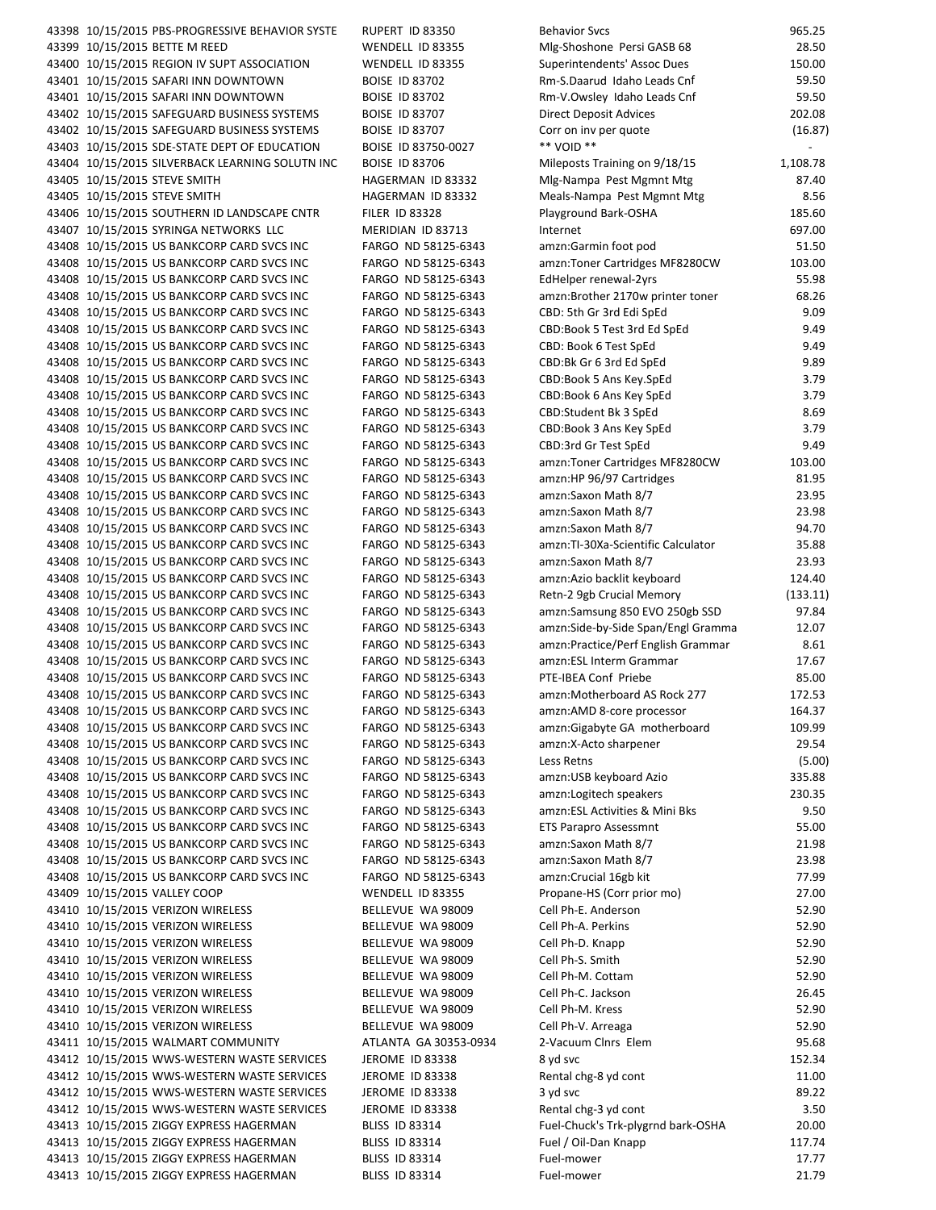| 43398 10/15/2015 PBS-PROGRESSIVE BEHAVIOR SYSTE | RUPERT ID 83350       | <b>Behavior Svcs</b>               | 965.25         |
|-------------------------------------------------|-----------------------|------------------------------------|----------------|
| 43399 10/15/2015 BETTE M REED                   | WENDELL ID 83355      | Mlg-Shoshone Persi GASB 68         | 28.50          |
| 43400 10/15/2015 REGION IV SUPT ASSOCIATION     | WENDELL ID 83355      | Superintendents' Assoc Dues        | 150.00         |
| 43401 10/15/2015 SAFARI INN DOWNTOWN            | <b>BOISE ID 83702</b> | Rm-S.Daarud Idaho Leads Cnf        | 59.50          |
| 43401 10/15/2015 SAFARI INN DOWNTOWN            | <b>BOISE ID 83702</b> | Rm-V.Owsley Idaho Leads Cnf        | 59.50          |
|                                                 |                       |                                    |                |
| 43402 10/15/2015 SAFEGUARD BUSINESS SYSTEMS     | <b>BOISE ID 83707</b> | Direct Deposit Advices             | 202.08         |
| 43402 10/15/2015 SAFEGUARD BUSINESS SYSTEMS     | <b>BOISE ID 83707</b> | Corr on inv per quote              | (16.87)        |
| 43403 10/15/2015 SDE-STATE DEPT OF EDUCATION    | BOISE ID 83750-0027   | ** VOID **                         |                |
| 43404 10/15/2015 SILVERBACK LEARNING SOLUTN INC | <b>BOISE ID 83706</b> | Mileposts Training on 9/18/15      | 1,108.78       |
| 43405 10/15/2015 STEVE SMITH                    | HAGERMAN ID 83332     | Mlg-Nampa Pest Mgmnt Mtg           | 87.40          |
| 43405 10/15/2015 STEVE SMITH                    | HAGERMAN ID 83332     | Meals-Nampa Pest Mgmnt Mtg         | 8.56           |
| 43406 10/15/2015 SOUTHERN ID LANDSCAPE CNTR     | <b>FILER ID 83328</b> | Playground Bark-OSHA               | 185.60         |
| 43407 10/15/2015 SYRINGA NETWORKS LLC           | MERIDIAN ID 83713     | Internet                           | 697.00         |
|                                                 |                       |                                    |                |
| 43408 10/15/2015 US BANKCORP CARD SVCS INC      | FARGO ND 58125-6343   | amzn:Garmin foot pod               | 51.50          |
| 43408 10/15/2015 US BANKCORP CARD SVCS INC      | FARGO ND 58125-6343   | amzn:Toner Cartridges MF8280CW     | 103.00         |
| 43408 10/15/2015 US BANKCORP CARD SVCS INC      | FARGO ND 58125-6343   | EdHelper renewal-2yrs              | 55.98          |
| 43408 10/15/2015 US BANKCORP CARD SVCS INC      | FARGO ND 58125-6343   | amzn:Brother 2170w printer toner   | 68.26          |
| 43408 10/15/2015 US BANKCORP CARD SVCS INC      | FARGO ND 58125-6343   | CBD: 5th Gr 3rd Edi SpEd           | 9.09           |
| 43408 10/15/2015 US BANKCORP CARD SVCS INC      | FARGO ND 58125-6343   | CBD:Book 5 Test 3rd Ed SpEd        | 9.49           |
| 43408 10/15/2015 US BANKCORP CARD SVCS INC      | FARGO ND 58125-6343   | CBD: Book 6 Test SpEd              | 9.49           |
| 43408 10/15/2015 US BANKCORP CARD SVCS INC      | FARGO ND 58125-6343   | CBD:Bk Gr 6 3rd Ed SpEd            | 9.89           |
|                                                 |                       |                                    |                |
| 43408 10/15/2015 US BANKCORP CARD SVCS INC      | FARGO ND 58125-6343   | CBD:Book 5 Ans Key.SpEd            | 3.79           |
| 43408 10/15/2015 US BANKCORP CARD SVCS INC      | FARGO ND 58125-6343   | CBD:Book 6 Ans Key SpEd            | 3.79           |
| 43408 10/15/2015 US BANKCORP CARD SVCS INC      | FARGO ND 58125-6343   | CBD:Student Bk 3 SpEd              | 8.69           |
| 43408 10/15/2015 US BANKCORP CARD SVCS INC      | FARGO ND 58125-6343   | CBD:Book 3 Ans Key SpEd            | 3.79           |
| 43408 10/15/2015 US BANKCORP CARD SVCS INC      | FARGO ND 58125-6343   | CBD:3rd Gr Test SpEd               | 9.49           |
| 43408 10/15/2015 US BANKCORP CARD SVCS INC      | FARGO ND 58125-6343   | amzn:Toner Cartridges MF8280CW     | 103.00         |
| 43408 10/15/2015 US BANKCORP CARD SVCS INC      | FARGO ND 58125-6343   | amzn:HP 96/97 Cartridges           | 81.95          |
| 43408 10/15/2015 US BANKCORP CARD SVCS INC      | FARGO ND 58125-6343   | amzn:Saxon Math 8/7                | 23.95          |
|                                                 |                       |                                    |                |
| 43408 10/15/2015 US BANKCORP CARD SVCS INC      | FARGO ND 58125-6343   | amzn: Saxon Math 8/7               | 23.98          |
| 43408 10/15/2015 US BANKCORP CARD SVCS INC      | FARGO ND 58125-6343   | amzn: Saxon Math 8/7               | 94.70          |
| 43408 10/15/2015 US BANKCORP CARD SVCS INC      | FARGO ND 58125-6343   | amzn:TI-30Xa-Scientific Calculator | 35.88          |
| 43408 10/15/2015 US BANKCORP CARD SVCS INC      | FARGO ND 58125-6343   | amzn:Saxon Math 8/7                | 23.93          |
| 43408 10/15/2015 US BANKCORP CARD SVCS INC      | FARGO ND 58125-6343   | amzn:Azio backlit keyboard         | 124.40         |
| 43408 10/15/2015 US BANKCORP CARD SVCS INC      | FARGO ND 58125-6343   | Retn-2 9gb Crucial Memory          | (133.11)       |
| 43408 10/15/2015 US BANKCORP CARD SVCS INC      | FARGO ND 58125-6343   | amzn:Samsung 850 EVO 250gb SSD     | 97.84          |
| 43408 10/15/2015 US BANKCORP CARD SVCS INC      | FARGO ND 58125-6343   | amzn:Side-by-Side Span/Engl Gramma | 12.07          |
|                                                 |                       | amzn:Practice/Perf English Grammar |                |
| 43408 10/15/2015 US BANKCORP CARD SVCS INC      | FARGO ND 58125-6343   |                                    | 8.61           |
| 43408 10/15/2015 US BANKCORP CARD SVCS INC      | FARGO ND 58125-6343   | amzn:ESL Interm Grammar            | 17.67          |
| 43408 10/15/2015 US BANKCORP CARD SVCS INC      | FARGO ND 58125-6343   | PTE-IBEA Conf Priebe               | 85.00          |
| 43408 10/15/2015 US BANKCORP CARD SVCS INC      | FARGO ND 58125-6343   | amzn:Motherboard AS Rock 277       | 172.53         |
| 43408 10/15/2015 US BANKCORP CARD SVCS INC      | FARGO ND 58125-6343   | amzn:AMD 8-core processor          | 164.37         |
| 43408 10/15/2015 US BANKCORP CARD SVCS INC      | FARGO ND 58125-6343   | amzn:Gigabyte GA motherboard       | 109.99         |
| 43408 10/15/2015 US BANKCORP CARD SVCS INC      | FARGO ND 58125-6343   | amzn:X-Acto sharpener              | 29.54          |
| 43408 10/15/2015 US BANKCORP CARD SVCS INC      | FARGO ND 58125-6343   | Less Retns                         | (5.00)         |
|                                                 |                       |                                    | 335.88         |
| 43408 10/15/2015 US BANKCORP CARD SVCS INC      | FARGO ND 58125-6343   | amzn:USB keyboard Azio             |                |
| 43408 10/15/2015 US BANKCORP CARD SVCS INC      | FARGO ND 58125-6343   | amzn:Logitech speakers             | 230.35         |
| 43408 10/15/2015 US BANKCORP CARD SVCS INC      | FARGO ND 58125-6343   | amzn:ESL Activities & Mini Bks     | 9.50           |
| 43408 10/15/2015 US BANKCORP CARD SVCS INC      | FARGO ND 58125-6343   | <b>ETS Parapro Assessmnt</b>       | 55.00          |
| 43408 10/15/2015 US BANKCORP CARD SVCS INC      | FARGO ND 58125-6343   | amzn:Saxon Math 8/7                | 21.98          |
| 43408 10/15/2015 US BANKCORP CARD SVCS INC      | FARGO ND 58125-6343   | amzn:Saxon Math 8/7                | 23.98          |
| 43408 10/15/2015 US BANKCORP CARD SVCS INC      | FARGO ND 58125-6343   | amzn: Crucial 16gb kit             | 77.99          |
| 43409 10/15/2015 VALLEY COOP                    | WENDELL ID 83355      | Propane-HS (Corr prior mo)         | 27.00          |
|                                                 |                       |                                    |                |
| 43410 10/15/2015 VERIZON WIRELESS               | BELLEVUE WA 98009     | Cell Ph-E. Anderson                | 52.90          |
| 43410 10/15/2015 VERIZON WIRELESS               | BELLEVUE WA 98009     | Cell Ph-A. Perkins                 | 52.90          |
| 43410 10/15/2015 VERIZON WIRELESS               | BELLEVUE WA 98009     | Cell Ph-D. Knapp                   | 52.90          |
| 43410 10/15/2015 VERIZON WIRELESS               | BELLEVUE WA 98009     | Cell Ph-S. Smith                   | 52.90          |
| 43410 10/15/2015 VERIZON WIRELESS               | BELLEVUE WA 98009     | Cell Ph-M. Cottam                  | 52.90          |
| 43410 10/15/2015 VERIZON WIRELESS               | BELLEVUE WA 98009     | Cell Ph-C. Jackson                 | 26.45          |
| 43410 10/15/2015 VERIZON WIRELESS               | BELLEVUE WA 98009     | Cell Ph-M. Kress                   | 52.90          |
|                                                 |                       |                                    |                |
| 43410 10/15/2015 VERIZON WIRELESS               | BELLEVUE WA 98009     | Cell Ph-V. Arreaga                 | 52.90          |
| 43411 10/15/2015 WALMART COMMUNITY              | ATLANTA GA 30353-0934 | 2-Vacuum Clnrs Elem                | 95.68          |
| 43412 10/15/2015 WWS-WESTERN WASTE SERVICES     | JEROME ID 83338       | 8 yd svc                           | 152.34         |
| 43412 10/15/2015 WWS-WESTERN WASTE SERVICES     | JEROME ID 83338       | Rental chg-8 yd cont               | 11.00          |
| 43412 10/15/2015 WWS-WESTERN WASTE SERVICES     | JEROME ID 83338       | 3 yd svc                           | 89.22          |
| 43412 10/15/2015 WWS-WESTERN WASTE SERVICES     | JEROME ID 83338       | Rental chg-3 yd cont               | 3.50           |
| 43413 10/15/2015 ZIGGY EXPRESS HAGERMAN         | <b>BLISS ID 83314</b> | Fuel-Chuck's Trk-plygrnd bark-OSHA | 20.00          |
| 43413 10/15/2015 ZIGGY EXPRESS HAGERMAN         | <b>BLISS ID 83314</b> | Fuel / Oil-Dan Knapp               | 117.74         |
|                                                 |                       |                                    |                |
| 43413 10/15/2015 ZIGGY EXPRESS HAGERMAN         | <b>BLISS ID 83314</b> | Fuel-mower                         | 17.77<br>21.79 |
| 43413 10/15/2015 ZIGGY EXPRESS HAGERMAN         | <b>BLISS ID 83314</b> | Fuel-mower                         |                |